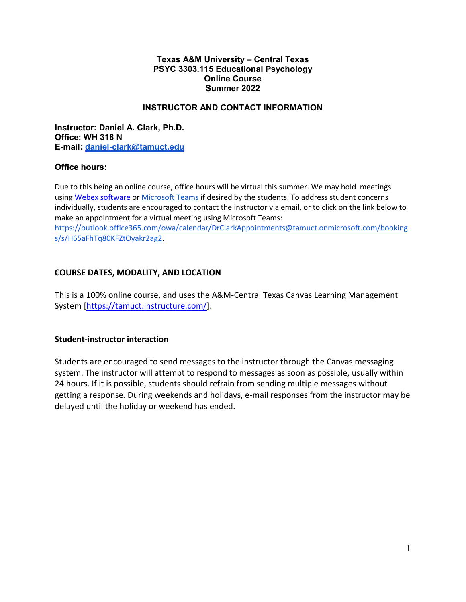#### **Texas A&M University – Central Texas PSYC 3303.115 Educational Psychology Online Course Summer 2022**

## **INSTRUCTOR AND CONTACT INFORMATION**

**Instructor: Daniel A. Clark, Ph.D. Office: WH 318 N E-mail: [daniel-clark@tamuct.edu](mailto:daniel-clark@tamuct.edu)**

#### **Office hours:**

Due to this being an online course, office hours will be virtual this summer. We may hold meetings using [Webex software](https://tamuct.instructure.com/courses/6889/external_tools/780) or [Microsoft Teams](https://www.microsoft.com/en-us/microsoft-teams/group-chat-software) if desired by the students. To address student concerns individually, students are encouraged to contact the instructor via email, or to click on the link below to make an appointment for a virtual meeting using Microsoft Teams: [https://outlook.office365.com/owa/calendar/DrClarkAppointments@tamuct.onmicrosoft.com/booking](https://outlook.office365.com/owa/calendar/DrClarkAppointments@tamuct.onmicrosoft.com/bookings/s/H65aFhTq80KFZtOyakr2ag2) [s/s/H65aFhTq80KFZtOyakr2ag2.](https://outlook.office365.com/owa/calendar/DrClarkAppointments@tamuct.onmicrosoft.com/bookings/s/H65aFhTq80KFZtOyakr2ag2)

# **COURSE DATES, MODALITY, AND LOCATION**

This is a 100% online course, and uses the A&M-Central Texas Canvas Learning Management System [\[https://tamuct.instructure.com/\]](https://tamuct.instructure.com/).

# **Student-instructor interaction**

Students are encouraged to send messages to the instructor through the Canvas messaging system. The instructor will attempt to respond to messages as soon as possible, usually within 24 hours. If it is possible, students should refrain from sending multiple messages without getting a response. During weekends and holidays, e-mail responses from the instructor may be delayed until the holiday or weekend has ended.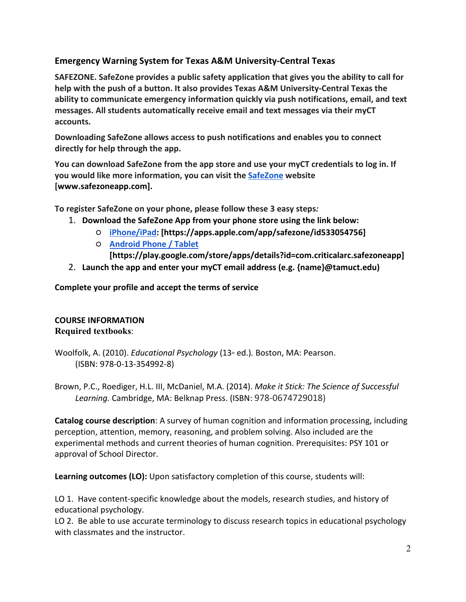# **Emergency Warning System for Texas A&M University-Central Texas**

**SAFEZONE. SafeZone provides a public safety application that gives you the ability to call for help with the push of a button. It also provides Texas A&M University-Central Texas the ability to communicate emergency information quickly via push notifications, email, and text messages. All students automatically receive email and text messages via their myCT accounts.**

**Downloading SafeZone allows access to push notifications and enables you to connect directly for help through the app.**

**You can download SafeZone from the app store and use your myCT credentials to log in. If you would like more information, you can visit th[e](http://www.safezoneapp.com/) [SafeZone](http://www.safezoneapp.com/) website [www.safezoneapp.com].**

**To register SafeZone on your phone, please follow these 3 easy steps***:* 

- 1. **Download the SafeZone App from your phone store using the link below:**
	- **[iPhone/iPad:](https://apps.apple.com/app/safezone/id533054756) [https://apps.apple.com/app/safezone/id533054756]**
	- **[Android Phone / Tablet](https://play.google.com/store/apps/details?id=com.criticalarc.safezoneapp)**

**[https://play.google.com/store/apps/details?id=com.criticalarc.safezoneapp]**

2. **Launch the app and enter your myCT email address (e.g. {name}@tamuct.edu)**

**Complete your profile and accept the terms of service**

# **COURSE INFORMATION Required textbooks**:

Woolfolk, A. (2010). *Educational Psychology* (13<sup>th</sup> ed.). Boston, MA: Pearson. (ISBN: 978-0-13-354992-8)

Brown, P.C., Roediger, H.L. III, McDaniel, M.A. (2014). *Make it Stick: The Science of Successful Learning.* Cambridge, MA: Belknap Press. (ISBN: 978-0674729018)

**Catalog course description**: A survey of human cognition and information processing, including perception, attention, memory, reasoning, and problem solving. Also included are the experimental methods and current theories of human cognition. Prerequisites: PSY 101 or approval of School Director.

**Learning outcomes (LO):** Upon satisfactory completion of this course, students will:

LO 1. Have content-specific knowledge about the models, research studies, and history of educational psychology.

LO 2. Be able to use accurate terminology to discuss research topics in educational psychology with classmates and the instructor.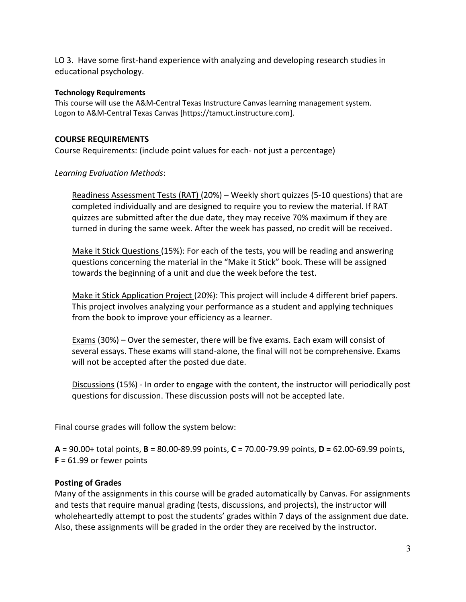LO 3. Have some first-hand experience with analyzing and developing research studies in educational psychology.

#### **Technology Requirements**

This course will use the A&M-Central Texas Instructure Canvas learning management system. Logon to A&M-Central Texas Canvas [https://tamuct.instructure.com].

## **COURSE REQUIREMENTS**

Course Requirements: (include point values for each- not just a percentage)

## *Learning Evaluation Methods*:

Readiness Assessment Tests (RAT) (20%) – Weekly short quizzes (5-10 questions) that are completed individually and are designed to require you to review the material. If RAT quizzes are submitted after the due date, they may receive 70% maximum if they are turned in during the same week. After the week has passed, no credit will be received.

Make it Stick Questions (15%): For each of the tests, you will be reading and answering questions concerning the material in the "Make it Stick" book. These will be assigned towards the beginning of a unit and due the week before the test.

Make it Stick Application Project (20%): This project will include 4 different brief papers. This project involves analyzing your performance as a student and applying techniques from the book to improve your efficiency as a learner.

Exams (30%) – Over the semester, there will be five exams. Each exam will consist of several essays. These exams will stand-alone, the final will not be comprehensive. Exams will not be accepted after the posted due date.

Discussions (15%) - In order to engage with the content, the instructor will periodically post questions for discussion. These discussion posts will not be accepted late.

Final course grades will follow the system below:

**A** = 90.00+ total points, **B** = 80.00-89.99 points, **C** = 70.00-79.99 points, **D =** 62.00-69.99 points, **F** = 61.99 or fewer points

# **Posting of Grades**

Many of the assignments in this course will be graded automatically by Canvas. For assignments and tests that require manual grading (tests, discussions, and projects), the instructor will wholeheartedly attempt to post the students' grades within 7 days of the assignment due date. Also, these assignments will be graded in the order they are received by the instructor.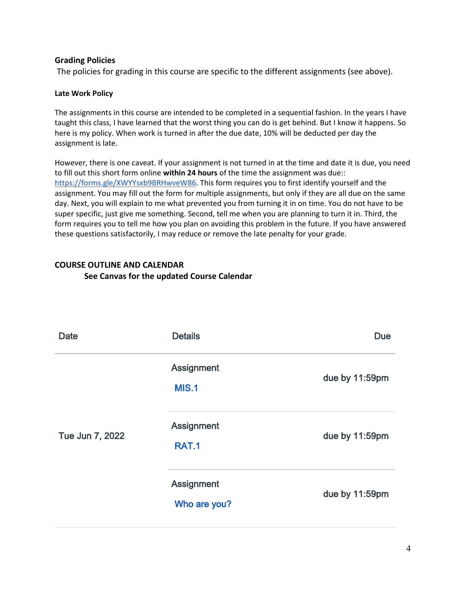## **Grading Policies**

The policies for grading in this course are specific to the different assignments (see above).

#### **Late Work Policy**

The assignments in this course are intended to be completed in a sequential fashion. In the years I have taught this class, I have learned that the worst thing you can do is get behind. But I know it happens. So here is my policy. When work is turned in after the due date, 10% will be deducted per day the assignment is late.

However, there is one caveat. If your assignment is not turned in at the time and date it is due, you need to fill out this short form online **within 24 hours** of the time the assignment was due:[:](https://forms.gle/XWYYsxb9BRHwveW86) [https://forms.gle/XWYYsxb9BRHwveW86.](https://forms.gle/XWYYsxb9BRHwveW86) This form requires you to first identify yourself and the assignment. You may fill out the form for multiple assignments, but only if they are all due on the same day. Next, you will explain to me what prevented you from turning it in on time. You do not have to be super specific, just give me something. Second, tell me when you are planning to turn it in. Third, the form requires you to tell me how you plan on avoiding this problem in the future. If you have answered these questions satisfactorily, I may reduce or remove the late penalty for your grade.

# **COURSE OUTLINE AND CALENDAR See Canvas for the updated Course Calendar**

| <b>Date</b>     | <b>Details</b>                    | <b>Due</b>     |
|-----------------|-----------------------------------|----------------|
| Tue Jun 7, 2022 | <b>Assignment</b><br><b>MIS.1</b> | due by 11:59pm |
|                 | <b>Assignment</b><br><b>RAT.1</b> | due by 11:59pm |
|                 | <b>Assignment</b><br>Who are you? | due by 11:59pm |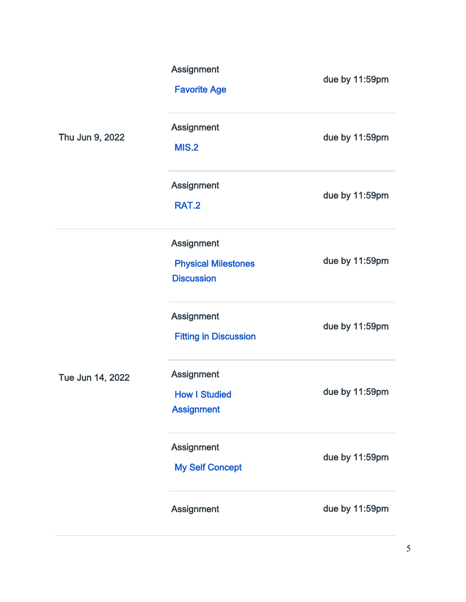|                  | Assignment<br><b>Favorite Age</b>                              | due by 11:59pm |
|------------------|----------------------------------------------------------------|----------------|
| Thu Jun 9, 2022  | <b>Assignment</b><br><b>MIS.2</b>                              | due by 11:59pm |
|                  | <b>Assignment</b><br><b>RAT.2</b>                              | due by 11:59pm |
|                  | Assignment<br><b>Physical Milestones</b><br><b>Discussion</b>  | due by 11:59pm |
|                  | Assignment<br><b>Fitting in Discussion</b>                     | due by 11:59pm |
| Tue Jun 14, 2022 | <b>Assignment</b><br><b>How I Studied</b><br><b>Assignment</b> | due by 11:59pm |
|                  | Assignment<br><b>My Self Concept</b>                           | due by 11:59pm |
|                  | Assignment                                                     | due by 11:59pm |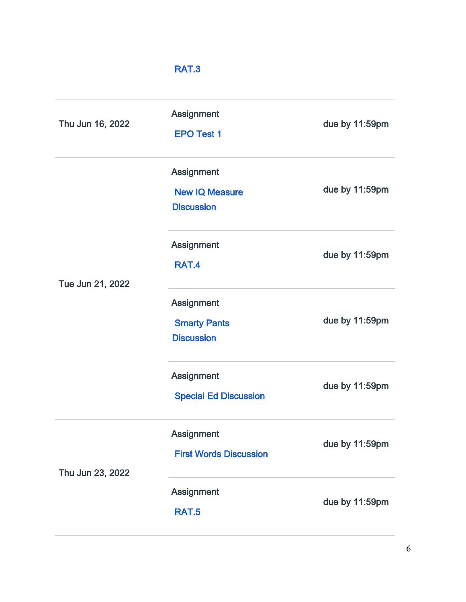# [RAT.3](https://tamuct.instructure.com/courses/10503/assignments/194866)

| Thu Jun 16, 2022 | <b>Assignment</b><br><b>EPO Test 1</b>                          | due by 11:59pm |
|------------------|-----------------------------------------------------------------|----------------|
|                  | <b>Assignment</b><br><b>New IQ Measure</b><br><b>Discussion</b> | due by 11:59pm |
| Tue Jun 21, 2022 | <b>Assignment</b><br>RAT.4                                      | due by 11:59pm |
|                  | <b>Assignment</b><br><b>Smarty Pants</b><br><b>Discussion</b>   | due by 11:59pm |
|                  | <b>Assignment</b><br><b>Special Ed Discussion</b>               | due by 11:59pm |
| Thu Jun 23, 2022 | <b>Assignment</b><br><b>First Words Discussion</b>              | due by 11:59pm |
|                  | Assignment<br><b>RAT.5</b>                                      | due by 11:59pm |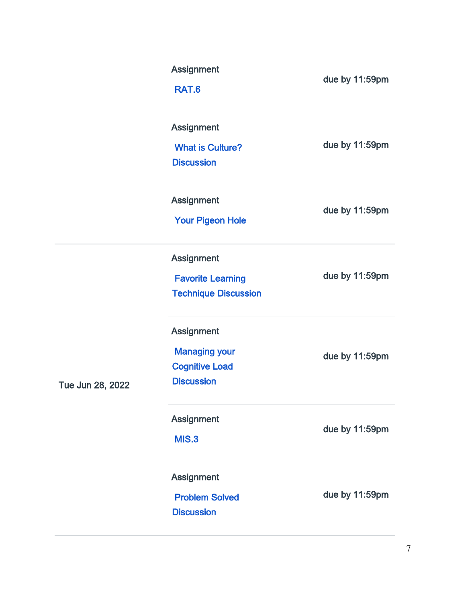|                  | Assignment<br>RAT.6                                                                     | due by 11:59pm |
|------------------|-----------------------------------------------------------------------------------------|----------------|
|                  | <b>Assignment</b><br><b>What is Culture?</b><br><b>Discussion</b>                       | due by 11:59pm |
|                  | Assignment<br><b>Your Pigeon Hole</b>                                                   | due by 11:59pm |
|                  | <b>Assignment</b><br><b>Favorite Learning</b><br><b>Technique Discussion</b>            | due by 11:59pm |
| Tue Jun 28, 2022 | <b>Assignment</b><br><b>Managing your</b><br><b>Cognitive Load</b><br><b>Discussion</b> | due by 11:59pm |
|                  | <b>Assignment</b><br><b>MIS.3</b>                                                       | due by 11:59pm |
|                  | <b>Assignment</b><br><b>Problem Solved</b><br><b>Discussion</b>                         | due by 11:59pm |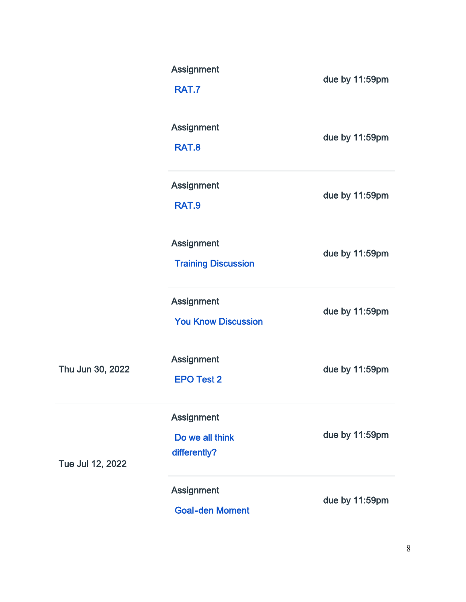|                  | Assignment<br><b>RAT.7</b>                           | due by 11:59pm |
|------------------|------------------------------------------------------|----------------|
|                  | Assignment<br><b>RAT.8</b>                           | due by 11:59pm |
|                  | <b>Assignment</b><br><b>RAT.9</b>                    | due by 11:59pm |
|                  | <b>Assignment</b><br><b>Training Discussion</b>      | due by 11:59pm |
|                  | <b>Assignment</b><br><b>You Know Discussion</b>      | due by 11:59pm |
| Thu Jun 30, 2022 | Assignment<br><b>EPO Test 2</b>                      | due by 11:59pm |
| Tue Jul 12, 2022 | <b>Assignment</b><br>Do we all think<br>differently? | due by 11:59pm |
|                  | <b>Assignment</b><br><b>Goal-den Moment</b>          | due by 11:59pm |

i,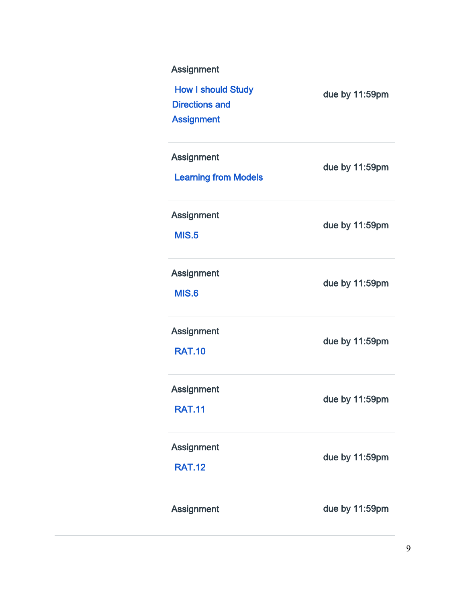| <b>Assignment</b><br><b>How I should Study</b><br><b>Directions and</b><br><b>Assignment</b> | due by 11:59pm |
|----------------------------------------------------------------------------------------------|----------------|
| <b>Assignment</b><br><b>Learning from Models</b>                                             | due by 11:59pm |
| <b>Assignment</b><br><b>MIS.5</b>                                                            | due by 11:59pm |
| <b>Assignment</b><br><b>MIS.6</b>                                                            | due by 11:59pm |
| <b>Assignment</b><br><b>RAT.10</b>                                                           | due by 11:59pm |
| <b>Assignment</b><br><b>RAT.11</b>                                                           | due by 11:59pm |
| <b>Assignment</b><br><b>RAT.12</b>                                                           | due by 11:59pm |
| <b>Assignment</b>                                                                            | due by 11:59pm |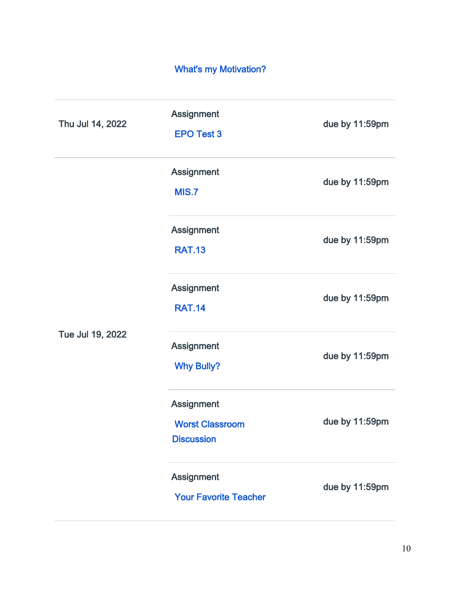# [What's my Motivation?](https://tamuct.instructure.com/courses/10503/assignments/194907)

| Thu Jul 14, 2022 | <b>Assignment</b><br><b>EPO Test 3</b>                    | due by 11:59pm |
|------------------|-----------------------------------------------------------|----------------|
| Tue Jul 19, 2022 | Assignment<br><b>MIS.7</b>                                | due by 11:59pm |
|                  | <b>Assignment</b><br><b>RAT.13</b>                        | due by 11:59pm |
|                  | Assignment<br><b>RAT.14</b>                               | due by 11:59pm |
|                  | <b>Assignment</b><br><b>Why Bully?</b>                    | due by 11:59pm |
|                  | Assignment<br><b>Worst Classroom</b><br><b>Discussion</b> | due by 11:59pm |
|                  | Assignment<br><b>Your Favorite Teacher</b>                | due by 11:59pm |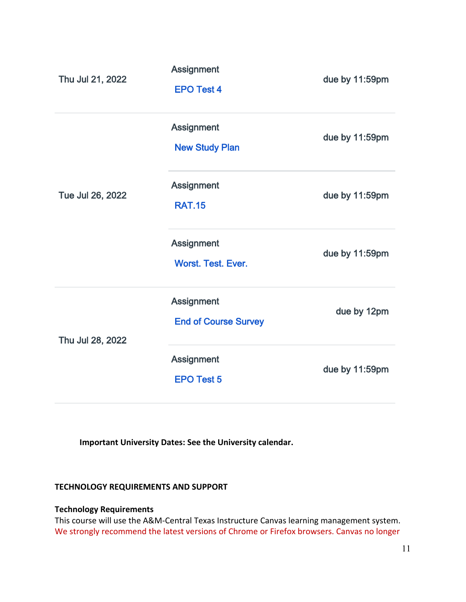| Thu Jul 21, 2022 | <b>Assignment</b><br><b>EPO Test 4</b>           | due by 11:59pm |
|------------------|--------------------------------------------------|----------------|
|                  | <b>Assignment</b><br><b>New Study Plan</b>       | due by 11:59pm |
| Tue Jul 26, 2022 | <b>Assignment</b><br><b>RAT.15</b>               | due by 11:59pm |
|                  | <b>Assignment</b><br><b>Worst. Test. Ever.</b>   | due by 11:59pm |
| Thu Jul 28, 2022 | <b>Assignment</b><br><b>End of Course Survey</b> | due by 12pm    |
|                  | <b>Assignment</b><br><b>EPO Test 5</b>           | due by 11:59pm |

 **Important University Dates: See the University calendar.**

## **TECHNOLOGY REQUIREMENTS AND SUPPORT**

## **Technology Requirements**

This course will use the A&M-Central Texas Instructure Canvas learning management system. We strongly recommend the latest versions of Chrome or Firefox browsers. Canvas no longer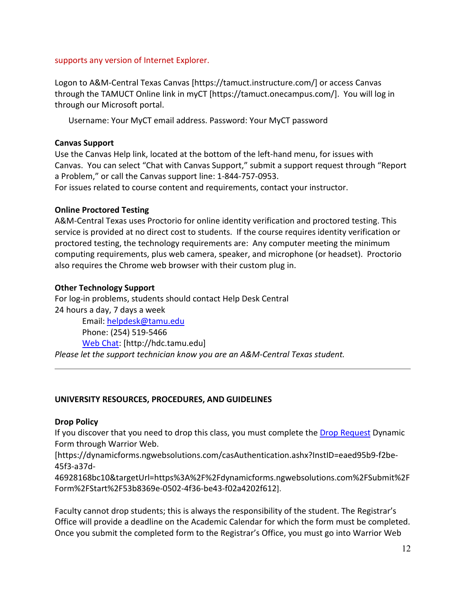#### supports any version of Internet Explorer.

Logon to A&M-Central Texas Canvas [https://tamuct.instructure.com/] or access Canvas through the TAMUCT Online link in myCT [https://tamuct.onecampus.com/]. You will log in through our Microsoft portal.

Username: Your MyCT email address. Password: Your MyCT password

## **Canvas Support**

Use the Canvas Help link, located at the bottom of the left-hand menu, for issues with Canvas. You can select "Chat with Canvas Support," submit a support request through "Report a Problem," or call the Canvas support line: 1-844-757-0953.

For issues related to course content and requirements, contact your instructor.

## **Online Proctored Testing**

A&M-Central Texas uses Proctorio for online identity verification and proctored testing. This service is provided at no direct cost to students. If the course requires identity verification or proctored testing, the technology requirements are: Any computer meeting the minimum computing requirements, plus web camera, speaker, and microphone (or headset). Proctorio also requires the Chrome web browser with their custom plug in.

## **Other Technology Support**

For log-in problems, students should contact Help Desk Central 24 hours a day, 7 days a week

Email: [helpdesk@tamu.edu](mailto:helpdesk@tamu.edu) Phone: (254) 519-5466 [Web Chat:](http://hdc.tamu.edu/) [http://hdc.tamu.edu] *Please let the support technician know you are an A&M-Central Texas student.*

#### **UNIVERSITY RESOURCES, PROCEDURES, AND GUIDELINES**

#### **Drop Policy**

If you discover that you need to drop this class, you must complete the [Drop Request](https://dynamicforms.ngwebsolutions.com/casAuthentication.ashx?InstID=eaed95b9-f2be-45f3-a37d-46928168bc10&targetUrl=https%3A%2F%2Fdynamicforms.ngwebsolutions.com%2FSubmit%2FForm%2FStart%2F53b8369e-0502-4f36-be43-f02a4202f612) Dynamic Form through Warrior Web.

[https://dynamicforms.ngwebsolutions.com/casAuthentication.ashx?InstID=eaed95b9-f2be-45f3-a37d-

46928168bc10&targetUrl=https%3A%2F%2Fdynamicforms.ngwebsolutions.com%2FSubmit%2F Form%2FStart%2F53b8369e-0502-4f36-be43-f02a4202f612].

Faculty cannot drop students; this is always the responsibility of the student. The Registrar's Office will provide a deadline on the Academic Calendar for which the form must be completed. Once you submit the completed form to the Registrar's Office, you must go into Warrior Web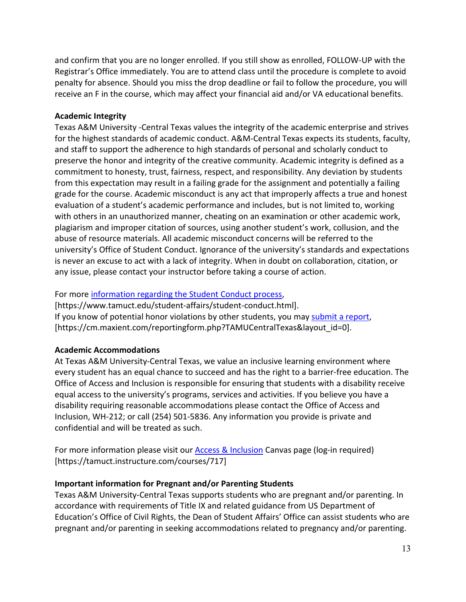and confirm that you are no longer enrolled. If you still show as enrolled, FOLLOW-UP with the Registrar's Office immediately. You are to attend class until the procedure is complete to avoid penalty for absence. Should you miss the drop deadline or fail to follow the procedure, you will receive an F in the course, which may affect your financial aid and/or VA educational benefits.

## **Academic Integrity**

Texas A&M University -Central Texas values the integrity of the academic enterprise and strives for the highest standards of academic conduct. A&M-Central Texas expects its students, faculty, and staff to support the adherence to high standards of personal and scholarly conduct to preserve the honor and integrity of the creative community. Academic integrity is defined as a commitment to honesty, trust, fairness, respect, and responsibility. Any deviation by students from this expectation may result in a failing grade for the assignment and potentially a failing grade for the course. Academic misconduct is any act that improperly affects a true and honest evaluation of a student's academic performance and includes, but is not limited to, working with others in an unauthorized manner, cheating on an examination or other academic work, plagiarism and improper citation of sources, using another student's work, collusion, and the abuse of resource materials. All academic misconduct concerns will be referred to the university's Office of Student Conduct. Ignorance of the university's standards and expectations is never an excuse to act with a lack of integrity. When in doubt on collaboration, citation, or any issue, please contact your instructor before taking a course of action.

## For more [information regarding the Student Conduct process,](https://www.tamuct.edu/student-affairs/student-conduct.html)

[https://www.tamuct.edu/student-affairs/student-conduct.html]. If you know of potential honor violations by other students, you may [submit a report,](https://cm.maxient.com/reportingform.php?TAMUCentralTexas&layout_id=0) [https://cm.maxient.com/reportingform.php?TAMUCentralTexas&layout\_id=0].

# **Academic Accommodations**

At Texas A&M University-Central Texas, we value an inclusive learning environment where every student has an equal chance to succeed and has the right to a barrier-free education. The Office of Access and Inclusion is responsible for ensuring that students with a disability receive equal access to the university's programs, services and activities. If you believe you have a disability requiring reasonable accommodations please contact the Office of Access and Inclusion, WH-212; or call (254) 501-5836. Any information you provide is private and confidential and will be treated as such.

For more information please visit our **Access & Inclusion Canvas page (log-in required)** [https://tamuct.instructure.com/courses/717]

# **Important information for Pregnant and/or Parenting Students**

Texas A&M University-Central Texas supports students who are pregnant and/or parenting. In accordance with requirements of Title IX and related guidance from US Department of Education's Office of Civil Rights, the Dean of Student Affairs' Office can assist students who are pregnant and/or parenting in seeking accommodations related to pregnancy and/or parenting.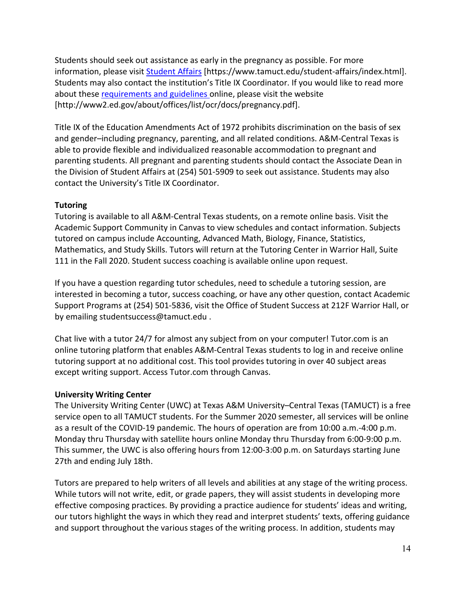Students should seek out assistance as early in the pregnancy as possible. For more information, please visit [Student Affairs](https://www.tamuct.edu/student-affairs/index.html) [https://www.tamuct.edu/student-affairs/index.html]. Students may also contact the institution's Title IX Coordinator. If you would like to read more about these [requirements and guidelines](http://www2.ed.gov/about/offices/list/ocr/docs/pregnancy.pdf) online, please visit the website [http://www2.ed.gov/about/offices/list/ocr/docs/pregnancy.pdf].

Title IX of the Education Amendments Act of 1972 prohibits discrimination on the basis of sex and gender–including pregnancy, parenting, and all related conditions. A&M-Central Texas is able to provide flexible and individualized reasonable accommodation to pregnant and parenting students. All pregnant and parenting students should contact the Associate Dean in the Division of Student Affairs at (254) 501-5909 to seek out assistance. Students may also contact the University's Title IX Coordinator.

# **Tutoring**

Tutoring is available to all A&M-Central Texas students, on a remote online basis. Visit the Academic Support Community in Canvas to view schedules and contact information. Subjects tutored on campus include Accounting, Advanced Math, Biology, Finance, Statistics, Mathematics, and Study Skills. Tutors will return at the Tutoring Center in Warrior Hall, Suite 111 in the Fall 2020. Student success coaching is available online upon request.

If you have a question regarding tutor schedules, need to schedule a tutoring session, are interested in becoming a tutor, success coaching, or have any other question, contact Academic Support Programs at (254) 501-5836, visit the Office of Student Success at 212F Warrior Hall, or by emailing studentsuccess@tamuct.edu .

Chat live with a tutor 24/7 for almost any subject from on your computer! Tutor.com is an online tutoring platform that enables A&M-Central Texas students to log in and receive online tutoring support at no additional cost. This tool provides tutoring in over 40 subject areas except writing support. Access Tutor.com through Canvas.

# **University Writing Center**

The University Writing Center (UWC) at Texas A&M University–Central Texas (TAMUCT) is a free service open to all TAMUCT students. For the Summer 2020 semester, all services will be online as a result of the COVID-19 pandemic. The hours of operation are from 10:00 a.m.-4:00 p.m. Monday thru Thursday with satellite hours online Monday thru Thursday from 6:00-9:00 p.m. This summer, the UWC is also offering hours from 12:00-3:00 p.m. on Saturdays starting June 27th and ending July 18th.

Tutors are prepared to help writers of all levels and abilities at any stage of the writing process. While tutors will not write, edit, or grade papers, they will assist students in developing more effective composing practices. By providing a practice audience for students' ideas and writing, our tutors highlight the ways in which they read and interpret students' texts, offering guidance and support throughout the various stages of the writing process. In addition, students may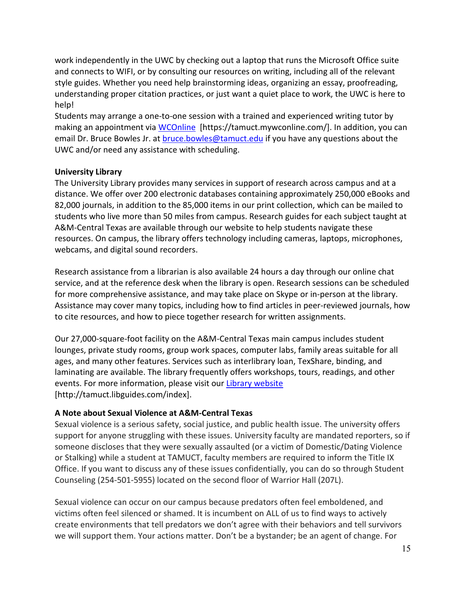work independently in the UWC by checking out a laptop that runs the Microsoft Office suite and connects to WIFI, or by consulting our resources on writing, including all of the relevant style guides. Whether you need help brainstorming ideas, organizing an essay, proofreading, understanding proper citation practices, or just want a quiet place to work, the UWC is here to help!

Students may arrange a one-to-one session with a trained and experienced writing tutor by making an appointment via [WCOnline](https://tamuct.mywconline.com/) [https://tamuct.mywconline.com/]. In addition, you can email Dr. Bruce Bowles Jr. at [bruce.bowles@tamuct.edu](mailto:bruce.bowles@tamuct.edu) if you have any questions about the UWC and/or need any assistance with scheduling.

## **University Library**

The University Library provides many services in support of research across campus and at a distance. We offer over 200 electronic databases containing approximately 250,000 eBooks and 82,000 journals, in addition to the 85,000 items in our print collection, which can be mailed to students who live more than 50 miles from campus. Research guides for each subject taught at A&M-Central Texas are available through our website to help students navigate these resources. On campus, the library offers technology including cameras, laptops, microphones, webcams, and digital sound recorders.

Research assistance from a librarian is also available 24 hours a day through our online chat service, and at the reference desk when the library is open. Research sessions can be scheduled for more comprehensive assistance, and may take place on Skype or in-person at the library. Assistance may cover many topics, including how to find articles in peer-reviewed journals, how to cite resources, and how to piece together research for written assignments.

Our 27,000-square-foot facility on the A&M-Central Texas main campus includes student lounges, private study rooms, group work spaces, computer labs, family areas suitable for all ages, and many other features. Services such as interlibrary loan, TexShare, binding, and laminating are available. The library frequently offers workshops, tours, readings, and other events. For more information, please visit our [Library website](https://tamuct.libguides.com/index) [http://tamuct.libguides.com/index].

# **A Note about Sexual Violence at A&M-Central Texas**

Sexual violence is a serious safety, social justice, and public health issue. The university offers support for anyone struggling with these issues. University faculty are mandated reporters, so if someone discloses that they were sexually assaulted (or a victim of Domestic/Dating Violence or Stalking) while a student at TAMUCT, faculty members are required to inform the Title IX Office. If you want to discuss any of these issues confidentially, you can do so through Student Counseling (254-501-5955) located on the second floor of Warrior Hall (207L).

Sexual violence can occur on our campus because predators often feel emboldened, and victims often feel silenced or shamed. It is incumbent on ALL of us to find ways to actively create environments that tell predators we don't agree with their behaviors and tell survivors we will support them. Your actions matter. Don't be a bystander; be an agent of change. For